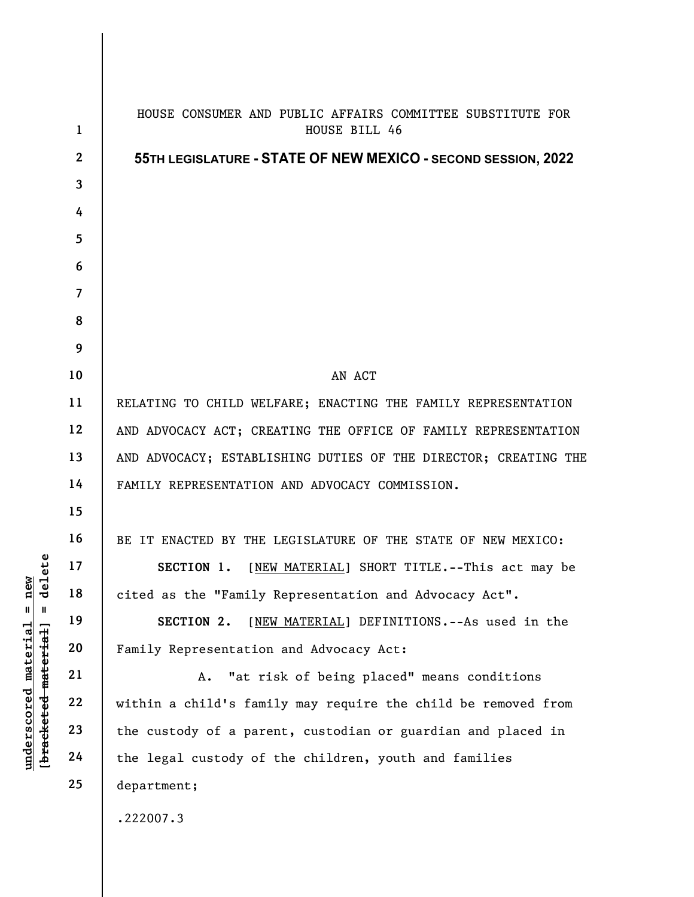|                                     | $\mathbf{1}$            | HOUSE CONSUMER AND PUBLIC AFFAIRS COMMITTEE SUBSTITUTE FOR<br>HOUSE BILL 46 |
|-------------------------------------|-------------------------|-----------------------------------------------------------------------------|
|                                     | $\mathbf{2}$            | 55TH LEGISLATURE - STATE OF NEW MEXICO - SECOND SESSION, 2022               |
|                                     | $\overline{\mathbf{3}}$ |                                                                             |
|                                     | 4                       |                                                                             |
|                                     | 5                       |                                                                             |
|                                     | 6                       |                                                                             |
|                                     | $\overline{7}$          |                                                                             |
|                                     | 8                       |                                                                             |
|                                     | 9                       |                                                                             |
|                                     | 10                      | AN ACT                                                                      |
|                                     | 11                      | RELATING TO CHILD WELFARE; ENACTING THE FAMILY REPRESENTATION               |
|                                     | 12                      | AND ADVOCACY ACT; CREATING THE OFFICE OF FAMILY REPRESENTATION              |
|                                     | 13                      | AND ADVOCACY; ESTABLISHING DUTIES OF THE DIRECTOR; CREATING THE             |
|                                     | 14                      | FAMILY REPRESENTATION AND ADVOCACY COMMISSION.                              |
|                                     | 15                      |                                                                             |
|                                     | 16                      | BE IT ENACTED BY THE LEGISLATURE OF THE STATE OF NEW MEXICO:                |
| elete                               | 17                      | SECTION 1.<br>[NEW MATERIAL] SHORT TITLE.--This act may be                  |
| <b>e</b><br>디<br>ರ                  | 18                      | cited as the "Family Representation and Advocacy Act".                      |
| $\mathbf{u}$<br>H                   | 19                      | [NEW MATERIAL] DEFINITIONS. -- As used in the<br>SECTION 2.                 |
| material                            | 20                      | Family Representation and Advocacy Act:                                     |
|                                     | 21                      | "at risk of being placed" means conditions<br>Α.                            |
|                                     | 22                      | within a child's family may require the child be removed from               |
|                                     | 23                      | the custody of a parent, custodian or guardian and placed in                |
| [bracketed material]<br>underscored | 24                      | the legal custody of the children, youth and families                       |
|                                     | 25                      | department;                                                                 |
|                                     |                         | .222007.3                                                                   |
|                                     |                         |                                                                             |

 $\overline{\phantom{a}}$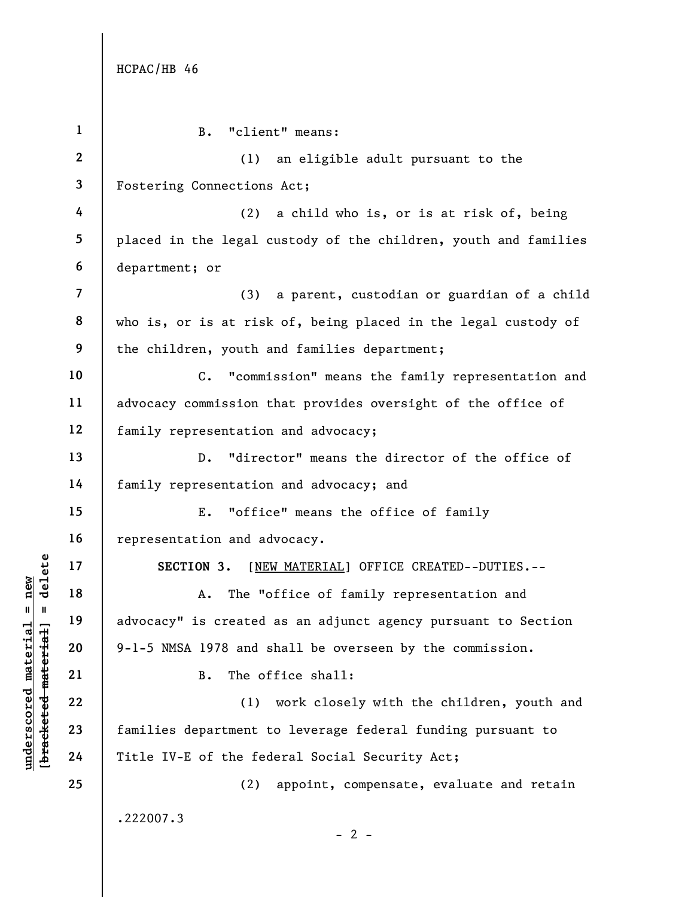$\frac{\text{underscored material = new}}{\text{b*aeeketed-mateer}+\text{ad}}$  = delete

| $\mathbf{1}$            | B. "client" means:                                              |
|-------------------------|-----------------------------------------------------------------|
| $\boldsymbol{2}$        | an eligible adult pursuant to the<br>(1)                        |
| 3                       | Fostering Connections Act;                                      |
| 4                       | (2)<br>a child who is, or is at risk of, being                  |
| 5                       | placed in the legal custody of the children, youth and families |
| 6                       | department; or                                                  |
| $\overline{\mathbf{z}}$ | (3) a parent, custodian or guardian of a child                  |
| 8                       | who is, or is at risk of, being placed in the legal custody of  |
| 9                       | the children, youth and families department;                    |
| 10                      | C. "commission" means the family representation and             |
| 11                      | advocacy commission that provides oversight of the office of    |
| 12                      | family representation and advocacy;                             |
| 13                      | D. "director" means the director of the office of               |
| 14                      | family representation and advocacy; and                         |
| 15                      | "office" means the office of family<br>E.                       |
| 16                      | representation and advocacy.                                    |
| 17                      | SECTION 3. [NEW MATERIAL] OFFICE CREATED--DUTIES.--             |
| 18                      | The "office of family representation and<br>Α.                  |
| 19                      | advocacy" is created as an adjunct agency pursuant to Section   |
| 20                      | 9-1-5 NMSA 1978 and shall be overseen by the commission.        |
| 21                      | The office shall:<br>В.                                         |
| 22                      | (1) work closely with the children, youth and                   |
| 23                      | families department to leverage federal funding pursuant to     |
| 24                      | Title IV-E of the federal Social Security Act;                  |
| 25                      | (2) appoint, compensate, evaluate and retain                    |
|                         | .222007.3                                                       |
|                         | $-2-$                                                           |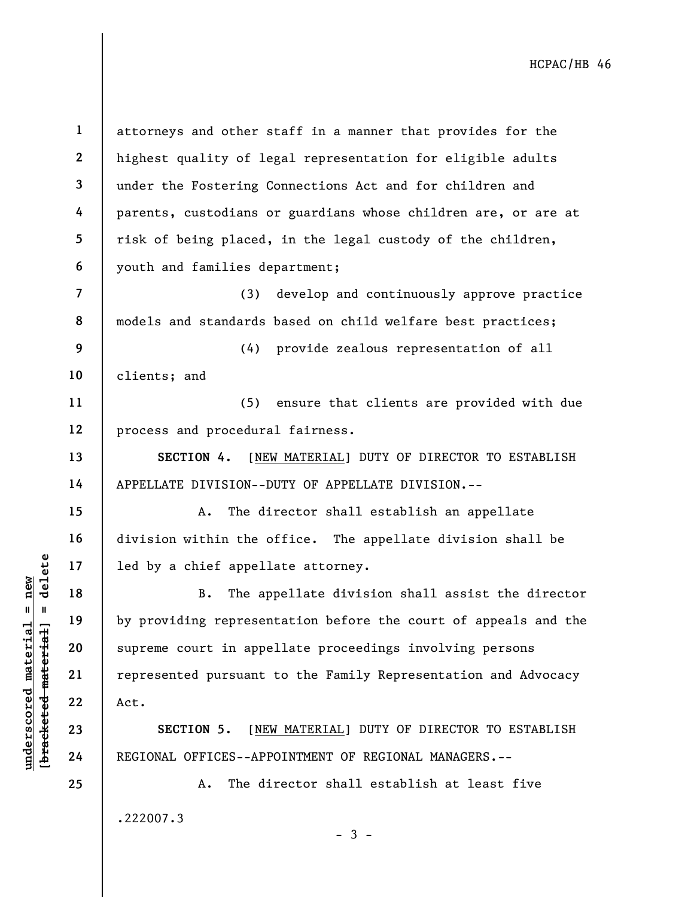underscored material material engines is the set of the set of the set of the set of the set of the set of the set of the set of the set of the set of the set of the set of the set of the set of the set of the set of the s 1 2 3 4 5 6 7 8 9 10 11 12 13 14 15 16 17 18 19 20 21 22 23 24 25 attorneys and other staff in a manner that provides for the highest quality of legal representation for eligible adults under the Fostering Connections Act and for children and parents, custodians or guardians whose children are, or are at risk of being placed, in the legal custody of the children, youth and families department; (3) develop and continuously approve practice models and standards based on child welfare best practices; (4) provide zealous representation of all clients; and (5) ensure that clients are provided with due process and procedural fairness. SECTION 4. [NEW MATERIAL] DUTY OF DIRECTOR TO ESTABLISH APPELLATE DIVISION--DUTY OF APPELLATE DIVISION.-- A. The director shall establish an appellate division within the office. The appellate division shall be led by a chief appellate attorney. B. The appellate division shall assist the director by providing representation before the court of appeals and the supreme court in appellate proceedings involving persons represented pursuant to the Family Representation and Advocacy Act. SECTION 5. [NEW MATERIAL] DUTY OF DIRECTOR TO ESTABLISH REGIONAL OFFICES--APPOINTMENT OF REGIONAL MANAGERS.-- A. The director shall establish at least five

.222007.3

 $-3 -$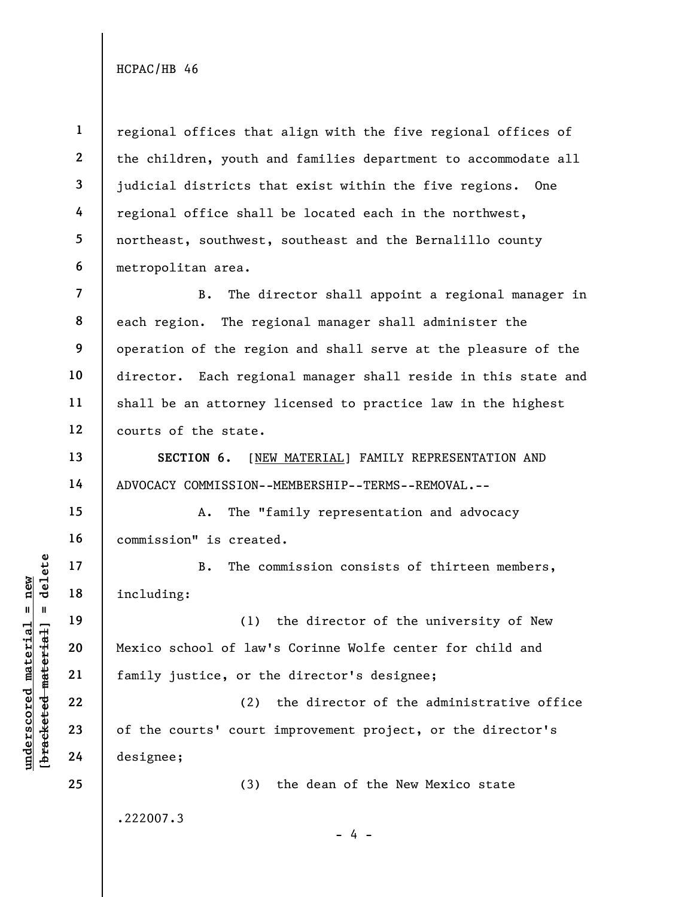1 2 3 4 5 6 regional offices that align with the five regional offices of the children, youth and families department to accommodate all judicial districts that exist within the five regions. One regional office shall be located each in the northwest, northeast, southwest, southeast and the Bernalillo county metropolitan area.

7 8 9 10 11 12 B. The director shall appoint a regional manager in each region. The regional manager shall administer the operation of the region and shall serve at the pleasure of the director. Each regional manager shall reside in this state and shall be an attorney licensed to practice law in the highest courts of the state.

SECTION 6. [NEW MATERIAL] FAMILY REPRESENTATION AND ADVOCACY COMMISSION--MEMBERSHIP--TERMS--REMOVAL.--

A. The "family representation and advocacy commission" is created.

B. The commission consists of thirteen members, including:

underscored material material including:<br>  $\begin{array}{c|c|c|c} \mathbf{B} & \mathbf{B} & \mathbf{B} & \mathbf{C} \end{array}$  including:<br>  $\begin{array}{c|c|c} \mathbf{C} & \mathbf{D} & \mathbf{D} & \mathbf{D} & \mathbf{D} \end{array}$ <br>  $\begin{array}{c|c} \mathbf{C} & \mathbf{D} & \mathbf{D} & \mathbf{D} & \mathbf{D} \end{array}$ <br>  $\begin{array}{c} \mathbf{D}$ (1) the director of the university of New Mexico school of law's Corinne Wolfe center for child and family justice, or the director's designee;

(2) the director of the administrative office of the courts' court improvement project, or the director's designee;

.222007.3

- 4 -

(3) the dean of the New Mexico state

13

14

15

16

17

18

19

20

21

22

23

24

25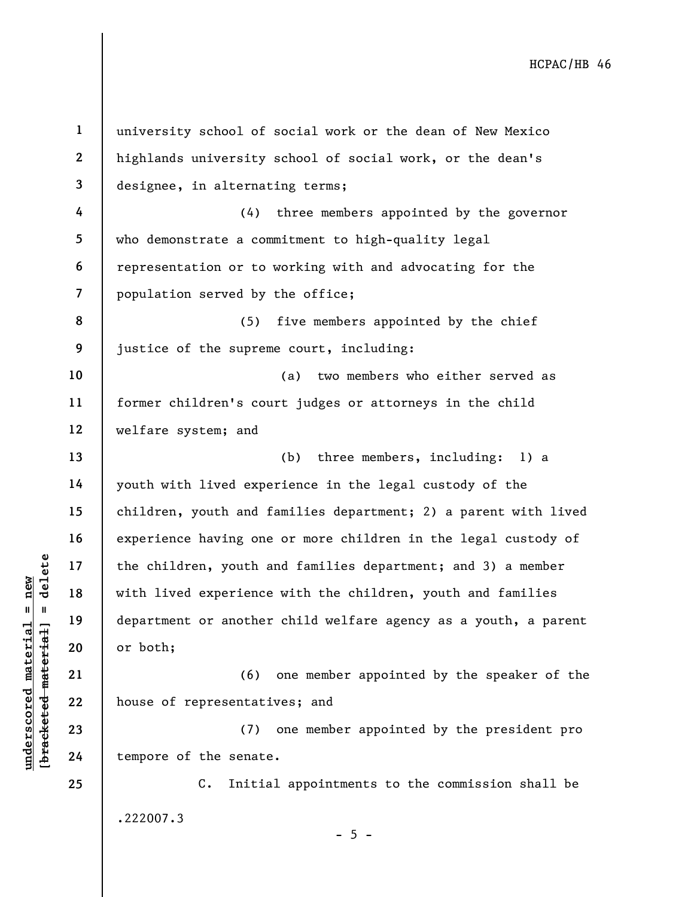understand material species of the senate<br>
with lived experience<br>
department or another<br>
department or another<br>
department or another<br>
or both;<br>
21<br>
22<br>
house of representati<br>
23<br>
24<br>
tempore of the senate 1 2 3 4 5 6 7 8 9 10 11 12 13 14 15 16 17 18 19 20 21 22 23 24 25 university school of social work or the dean of New Mexico highlands university school of social work, or the dean's designee, in alternating terms; (4) three members appointed by the governor who demonstrate a commitment to high-quality legal representation or to working with and advocating for the population served by the office; (5) five members appointed by the chief justice of the supreme court, including: (a) two members who either served as former children's court judges or attorneys in the child welfare system; and (b) three members, including: 1) a youth with lived experience in the legal custody of the children, youth and families department; 2) a parent with lived experience having one or more children in the legal custody of the children, youth and families department; and 3) a member with lived experience with the children, youth and families department or another child welfare agency as a youth, a parent or both; (6) one member appointed by the speaker of the house of representatives; and (7) one member appointed by the president pro tempore of the senate. C. Initial appointments to the commission shall be .222007.3  $- 5 -$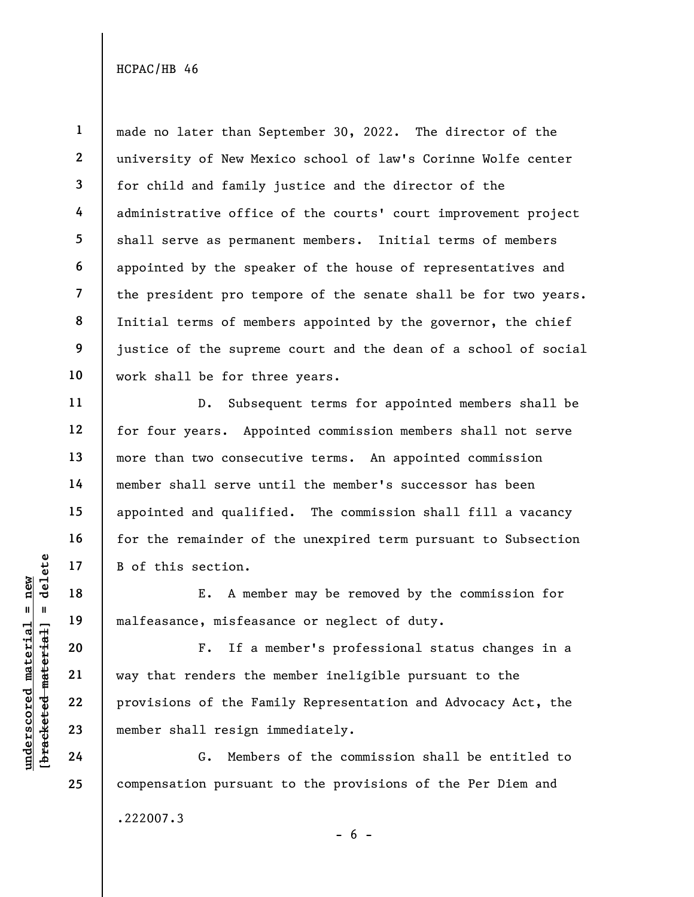1 2 3 4 5 6 7 8 9 10 made no later than September 30, 2022. The director of the university of New Mexico school of law's Corinne Wolfe center for child and family justice and the director of the administrative office of the courts' court improvement project shall serve as permanent members. Initial terms of members appointed by the speaker of the house of representatives and the president pro tempore of the senate shall be for two years. Initial terms of members appointed by the governor, the chief justice of the supreme court and the dean of a school of social work shall be for three years.

D. Subsequent terms for appointed members shall be for four years. Appointed commission members shall not serve more than two consecutive terms. An appointed commission member shall serve until the member's successor has been appointed and qualified. The commission shall fill a vacancy for the remainder of the unexpired term pursuant to Subsection B of this section.

E. A member may be removed by the commission for malfeasance, misfeasance or neglect of duty.

underschied material material material material material experience material material material member shall resign in the same of the Fam member shall resign in the same of the Fam member shall resign in the same of the Fa F. If a member's professional status changes in a way that renders the member ineligible pursuant to the provisions of the Family Representation and Advocacy Act, the member shall resign immediately.

G. Members of the commission shall be entitled to compensation pursuant to the provisions of the Per Diem and

.222007.3

 $- 6 -$ 

11

12

13

14

15

16

17

18

19

20

21

22

23

24

25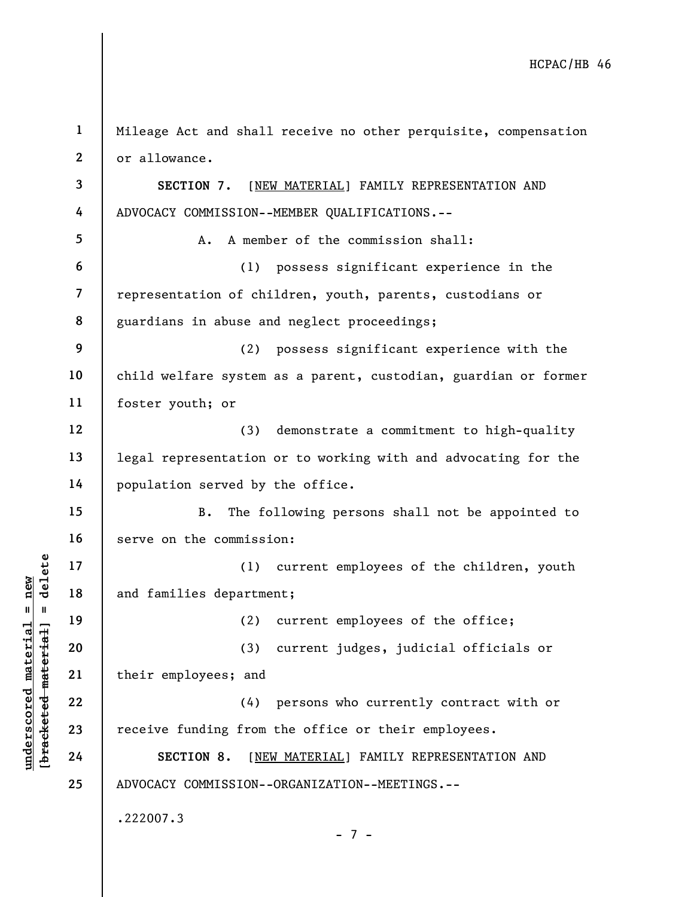underscored material material and families department<br>
and families department<br>
(2)<br>
and families department<br>
(2)<br>
(3)<br>
(3)<br>
their employees; and<br>
(4)<br>
22<br>
23<br>
receive funding from<br>
24<br>
SECTION 8. [NEI 1 2 3 4 5 6 7 8 9 10 11 12 13 14 15 16 17 18 19 20 21 22 23 24 25 Mileage Act and shall receive no other perquisite, compensation or allowance. SECTION 7. [NEW MATERIAL] FAMILY REPRESENTATION AND ADVOCACY COMMISSION--MEMBER QUALIFICATIONS.-- A. A member of the commission shall: (1) possess significant experience in the representation of children, youth, parents, custodians or guardians in abuse and neglect proceedings; (2) possess significant experience with the child welfare system as a parent, custodian, guardian or former foster youth; or (3) demonstrate a commitment to high-quality legal representation or to working with and advocating for the population served by the office. B. The following persons shall not be appointed to serve on the commission: (1) current employees of the children, youth and families department; (2) current employees of the office; (3) current judges, judicial officials or their employees; and (4) persons who currently contract with or receive funding from the office or their employees. SECTION 8. [NEW MATERIAL] FAMILY REPRESENTATION AND ADVOCACY COMMISSION--ORGANIZATION--MEETINGS.-- .222007.3 - 7 -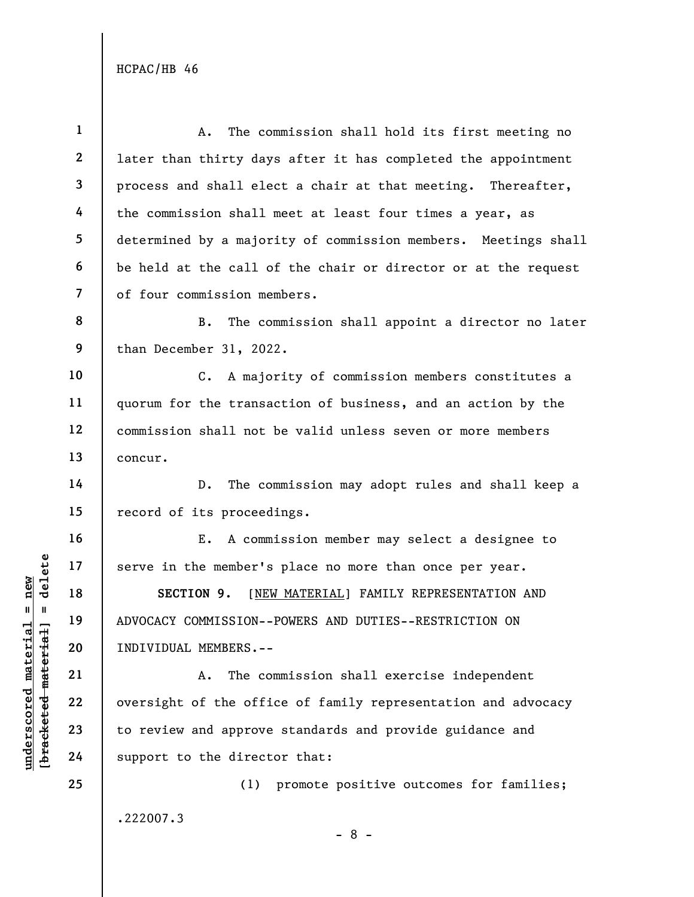| $\mathbf{1}$            | The commission shall hold its first meeting no<br>A.             |  |  |
|-------------------------|------------------------------------------------------------------|--|--|
| $\mathbf{2}$            | later than thirty days after it has completed the appointment    |  |  |
| 3                       | process and shall elect a chair at that meeting. Thereafter,     |  |  |
| 4                       | the commission shall meet at least four times a year, as         |  |  |
| 5                       | determined by a majority of commission members. Meetings shall   |  |  |
| 6                       | be held at the call of the chair or director or at the request   |  |  |
| $\overline{\mathbf{z}}$ | of four commission members.                                      |  |  |
| 8                       | The commission shall appoint a director no later<br>В.           |  |  |
| 9                       | than December 31, 2022.                                          |  |  |
| 10                      | C. A majority of commission members constitutes a                |  |  |
| 11                      | quorum for the transaction of business, and an action by the     |  |  |
| 12                      | commission shall not be valid unless seven or more members       |  |  |
| 13                      | concur.                                                          |  |  |
| 14                      | The commission may adopt rules and shall keep a<br>$D_{\bullet}$ |  |  |
| 15                      | record of its proceedings.                                       |  |  |
| 16                      | E. A commission member may select a designee to                  |  |  |
| 17                      | serve in the member's place no more than once per year.          |  |  |
| 18                      | SECTION 9. [NEW MATERIAL] FAMILY REPRESENTATION AND              |  |  |
| 19                      | ADVOCACY COMMISSION--POWERS AND DUTIES--RESTRICTION ON           |  |  |
| 20                      | INDIVIDUAL MEMBERS.--                                            |  |  |
| 21                      | The commission shall exercise independent<br>Α.                  |  |  |
| 22                      | oversight of the office of family representation and advocacy    |  |  |
| 23                      | to review and approve standards and provide guidance and         |  |  |
| 24                      | support to the director that:                                    |  |  |
| 25                      | (1) promote positive outcomes for families;                      |  |  |
|                         | .222007.3                                                        |  |  |

 $\frac{\text{underscored material = new}}{\text{beac detected-matter}+\text{d}}$  = delete

- 8 -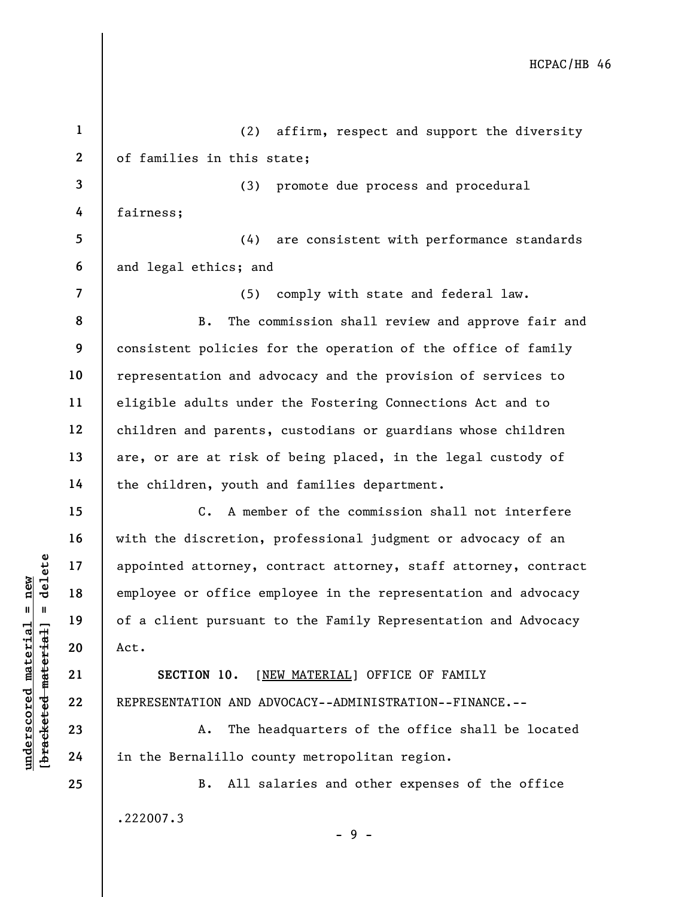understand material material and the server of the server of the server of the server of the server of the server of the server of the server of the server of the server of the server of the server of the server of the ser 1 2 3 4 5 6 7 8 9 10 11 12 13 14 15 16 17 18 19 20 21 22 23 24 25 (2) affirm, respect and support the diversity of families in this state; (3) promote due process and procedural fairness; (4) are consistent with performance standards and legal ethics; and (5) comply with state and federal law. B. The commission shall review and approve fair and consistent policies for the operation of the office of family representation and advocacy and the provision of services to eligible adults under the Fostering Connections Act and to children and parents, custodians or guardians whose children are, or are at risk of being placed, in the legal custody of the children, youth and families department. C. A member of the commission shall not interfere with the discretion, professional judgment or advocacy of an appointed attorney, contract attorney, staff attorney, contract employee or office employee in the representation and advocacy of a client pursuant to the Family Representation and Advocacy Act. SECTION 10. [NEW MATERIAL] OFFICE OF FAMILY REPRESENTATION AND ADVOCACY--ADMINISTRATION--FINANCE.-- A. The headquarters of the office shall be located in the Bernalillo county metropolitan region. B. All salaries and other expenses of the office .222007.3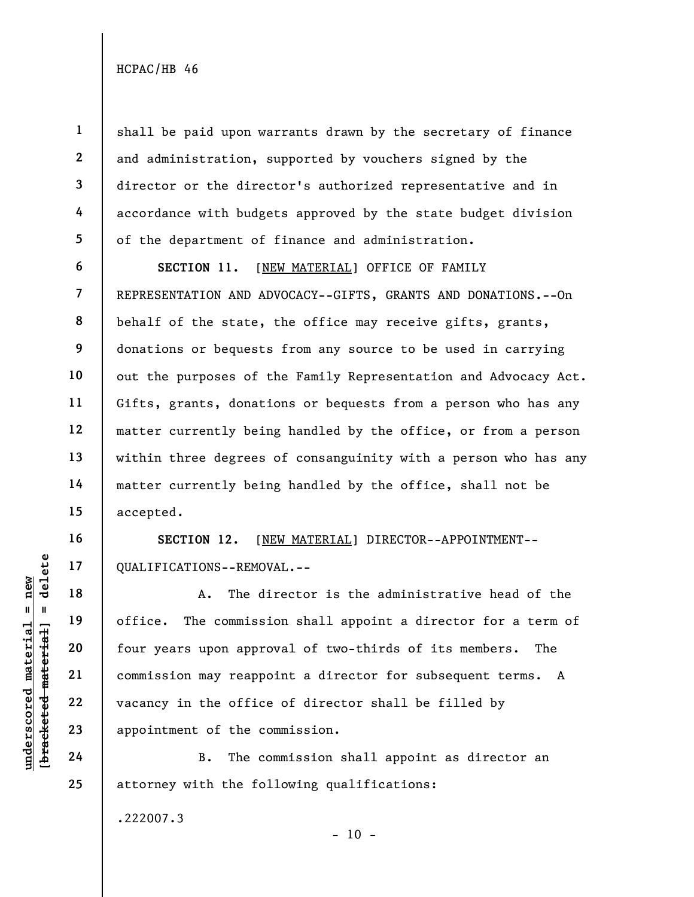1

2

3

4

5

shall be paid upon warrants drawn by the secretary of finance and administration, supported by vouchers signed by the director or the director's authorized representative and in accordance with budgets approved by the state budget division of the department of finance and administration.

6 7 8 9 10 11 12 13 14 15 SECTION 11. [NEW MATERIAL] OFFICE OF FAMILY REPRESENTATION AND ADVOCACY--GIFTS, GRANTS AND DONATIONS.--On behalf of the state, the office may receive gifts, grants, donations or bequests from any source to be used in carrying out the purposes of the Family Representation and Advocacy Act. Gifts, grants, donations or bequests from a person who has any matter currently being handled by the office, or from a person within three degrees of consanguinity with a person who has any matter currently being handled by the office, shall not be accepted.

SECTION 12. [NEW MATERIAL] DIRECTOR--APPOINTMENT-- QUALIFICATIONS--REMOVAL.--

UNDER THE MOVED THE MOVED THE MOVED THE MATHEM 19<br>
UNDER THE MATHEM 19<br>
UNDER THE COMMISSION AND THE MOVED THE MATHEM 20<br>
UNDER 22<br>
UNDER 22<br>
UNDER 22<br>
UNDER 22<br>
UNDER THE MATHEM THE MATHEM THE MATHEM THE MATHEM THE MATHEM A. The director is the administrative head of the office. The commission shall appoint a director for a term of four years upon approval of two-thirds of its members. The commission may reappoint a director for subsequent terms. A vacancy in the office of director shall be filled by appointment of the commission.

B. The commission shall appoint as director an attorney with the following qualifications:

.222007.3

 $- 10 -$ 

16

17

18

19

20

21

22

23

24

25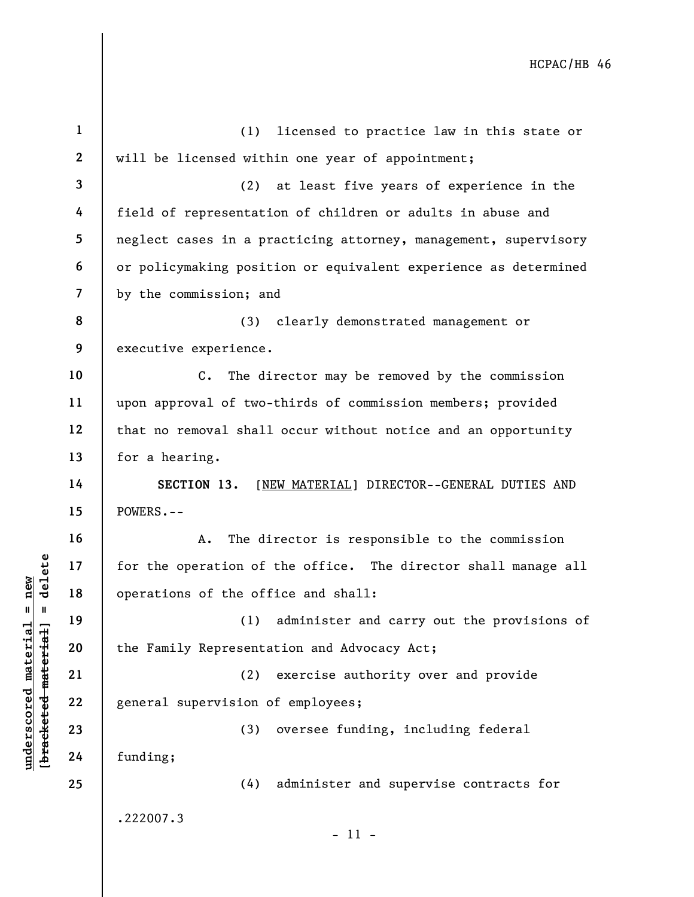|                                                           | $\mathbf{1}$   | (1)<br>licensed to practice law in this state or                |
|-----------------------------------------------------------|----------------|-----------------------------------------------------------------|
|                                                           | $\mathbf{2}$   | will be licensed within one year of appointment;                |
|                                                           | $\overline{3}$ | (2)<br>at least five years of experience in the                 |
|                                                           | 4              | field of representation of children or adults in abuse and      |
|                                                           | 5              | neglect cases in a practicing attorney, management, supervisory |
|                                                           | 6              | or policymaking position or equivalent experience as determined |
|                                                           | $\overline{7}$ | by the commission; and                                          |
|                                                           | 8              | clearly demonstrated management or<br>(3)                       |
|                                                           | 9              | executive experience.                                           |
|                                                           | 10             | $c_{\bullet}$<br>The director may be removed by the commission  |
|                                                           | 11             | upon approval of two-thirds of commission members; provided     |
|                                                           | 12             | that no removal shall occur without notice and an opportunity   |
|                                                           | 13             | for a hearing.                                                  |
|                                                           | 14             | SECTION 13.<br>[NEW MATERIAL] DIRECTOR--GENERAL DUTIES AND      |
|                                                           | 15             | POWERS.--                                                       |
|                                                           | 16             | The director is responsible to the commission<br>A.             |
| delete                                                    | 17             | for the operation of the office. The director shall manage all  |
| new                                                       | 18             | operations of the office and shall:                             |
| II                                                        | 19             | (1) administer and carry out the provisions of                  |
| underscored material<br>[ <del>bracketed material</del> ] | 20             | the Family Representation and Advocacy Act;                     |
|                                                           | 21             | exercise authority over and provide<br>(2)                      |
|                                                           | 22             | general supervision of employees;                               |
|                                                           | 23             | oversee funding, including federal<br>(3)                       |
|                                                           | 24             | funding;                                                        |
|                                                           | 25             | administer and supervise contracts for<br>(4)                   |
|                                                           |                | .222007.3                                                       |
|                                                           |                | $-11 -$                                                         |
|                                                           |                |                                                                 |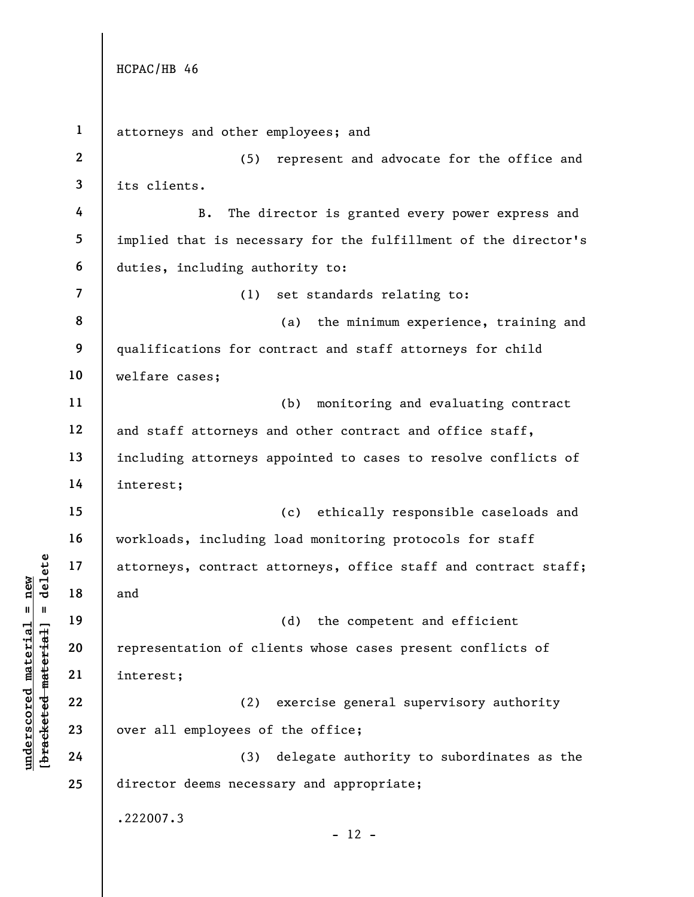understand material and<br>  $\begin{bmatrix}\n1 & 1 & 1 & 1 \\
0 & 1 & 0 & 0 \\
0 & 0 & 0 & 0 \\
0 & 0 & 0 & 0 \\
0 & 0 & 0 & 0 \\
0 & 0 & 0 & 0 \\
0 & 0 & 0 & 0 \\
0 & 0 & 0 & 0 \\
0 & 0 & 0 & 0 \\
0 & 0 & 0 & 0 \\
0 & 0 & 0 & 0 \\
0 & 0 & 0 & 0 \\
0 & 0 & 0 & 0 \\
0 & 0 & 0 & 0 \\
0 & 0 & 0 & 0 \\
0 & 0 & 0 & 0 \\
0 & 0 & 0 & 0 \\
0 &$ 1 2 3 4 5 6 7 8 9 10 11 12 13 14 15 16 17 18 19 20 21 22 23 24 25 attorneys and other employees; and (5) represent and advocate for the office and its clients. B. The director is granted every power express and implied that is necessary for the fulfillment of the director's duties, including authority to: (1) set standards relating to: (a) the minimum experience, training and qualifications for contract and staff attorneys for child welfare cases; (b) monitoring and evaluating contract and staff attorneys and other contract and office staff, including attorneys appointed to cases to resolve conflicts of interest; (c) ethically responsible caseloads and workloads, including load monitoring protocols for staff attorneys, contract attorneys, office staff and contract staff; and (d) the competent and efficient representation of clients whose cases present conflicts of interest; (2) exercise general supervisory authority over all employees of the office; (3) delegate authority to subordinates as the director deems necessary and appropriate; .222007.3  $- 12 -$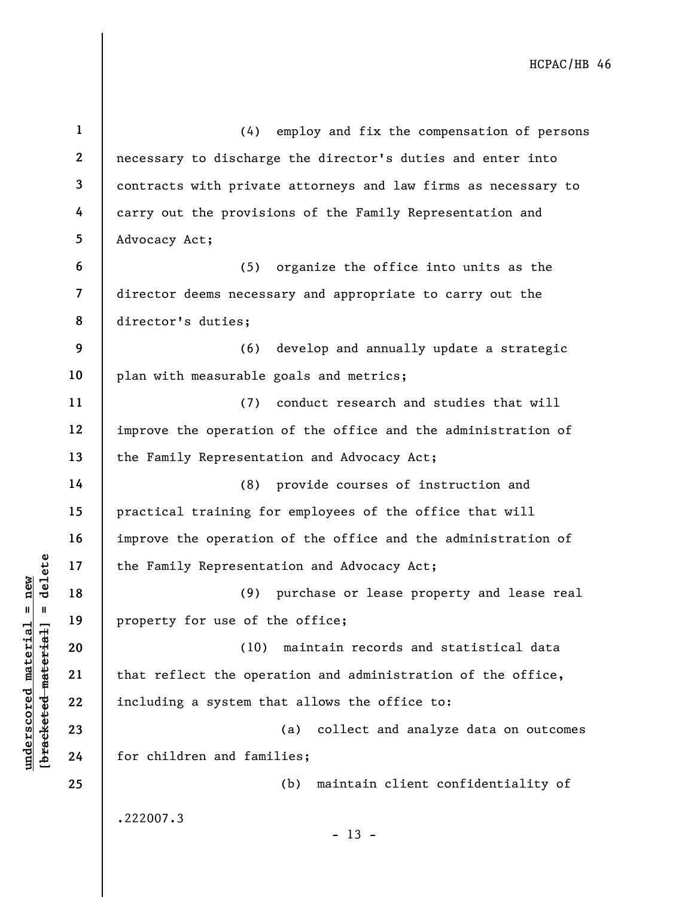|                                            | $\mathbf{1}$             | employ and fix the compensation of persons<br>(4)              |
|--------------------------------------------|--------------------------|----------------------------------------------------------------|
|                                            | $\mathbf{2}$             | necessary to discharge the director's duties and enter into    |
|                                            | $\mathbf{3}$             | contracts with private attorneys and law firms as necessary to |
|                                            | 4                        | carry out the provisions of the Family Representation and      |
|                                            | 5                        | Advocacy Act;                                                  |
|                                            | 6                        | (5)<br>organize the office into units as the                   |
|                                            | $\overline{\mathcal{L}}$ | director deems necessary and appropriate to carry out the      |
|                                            | 8                        | director's duties;                                             |
|                                            | 9                        | (6)<br>develop and annually update a strategic                 |
|                                            | 10                       | plan with measurable goals and metrics;                        |
|                                            | 11                       | conduct research and studies that will<br>(7)                  |
|                                            | 12                       | improve the operation of the office and the administration of  |
|                                            | 13                       | the Family Representation and Advocacy Act;                    |
|                                            | 14                       | (8)<br>provide courses of instruction and                      |
|                                            | 15                       | practical training for employees of the office that will       |
|                                            | 16                       | improve the operation of the office and the administration of  |
| delete                                     | 17                       | the Family Representation and Advocacy Act;                    |
| new                                        | 18                       | (9)<br>purchase or lease property and lease real               |
| Ш<br>- II                                  | 19                       | property for use of the office;                                |
|                                            | 20                       | maintain records and statistical data<br>(10)                  |
|                                            | 21                       | that reflect the operation and administration of the office,   |
| underscored materia<br>[bracketed material | 22                       | including a system that allows the office to:                  |
|                                            | 23                       | collect and analyze data on outcomes<br>(a)                    |
|                                            | 24                       | for children and families;                                     |
|                                            | 25                       | maintain client confidentiality of<br>(b)                      |
|                                            |                          | .222007.3                                                      |
|                                            |                          | $-13 -$                                                        |